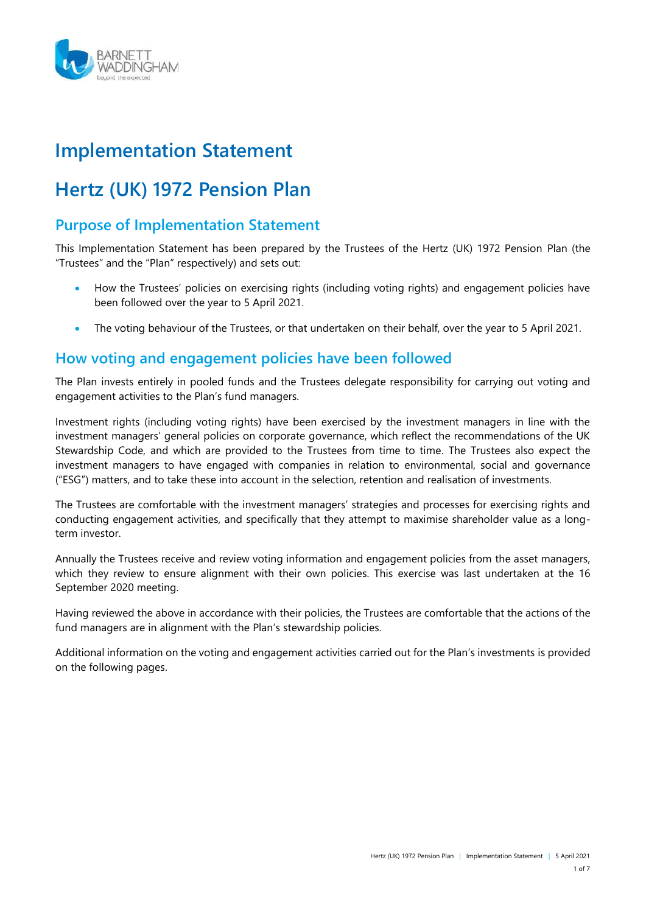

## **Implementation Statement**

# **Hertz (UK) 1972 Pension Plan**

## **Purpose of Implementation Statement**

This Implementation Statement has been prepared by the Trustees of the Hertz (UK) 1972 Pension Plan (the "Trustees" and the "Plan" respectively) and sets out:

- How the Trustees' policies on exercising rights (including voting rights) and engagement policies have been followed over the year to 5 April 2021.
- The voting behaviour of the Trustees, or that undertaken on their behalf, over the year to 5 April 2021.

## **How voting and engagement policies have been followed**

The Plan invests entirely in pooled funds and the Trustees delegate responsibility for carrying out voting and engagement activities to the Plan's fund managers.

Investment rights (including voting rights) have been exercised by the investment managers in line with the investment managers' general policies on corporate governance, which reflect the recommendations of the UK Stewardship Code, and which are provided to the Trustees from time to time. The Trustees also expect the investment managers to have engaged with companies in relation to environmental, social and governance ("ESG") matters, and to take these into account in the selection, retention and realisation of investments.

The Trustees are comfortable with the investment managers' strategies and processes for exercising rights and conducting engagement activities, and specifically that they attempt to maximise shareholder value as a longterm investor.

Annually the Trustees receive and review voting information and engagement policies from the asset managers, which they review to ensure alignment with their own policies. This exercise was last undertaken at the 16 September 2020 meeting.

Having reviewed the above in accordance with their policies, the Trustees are comfortable that the actions of the fund managers are in alignment with the Plan's stewardship policies.

Additional information on the voting and engagement activities carried out for the Plan's investments is provided on the following pages.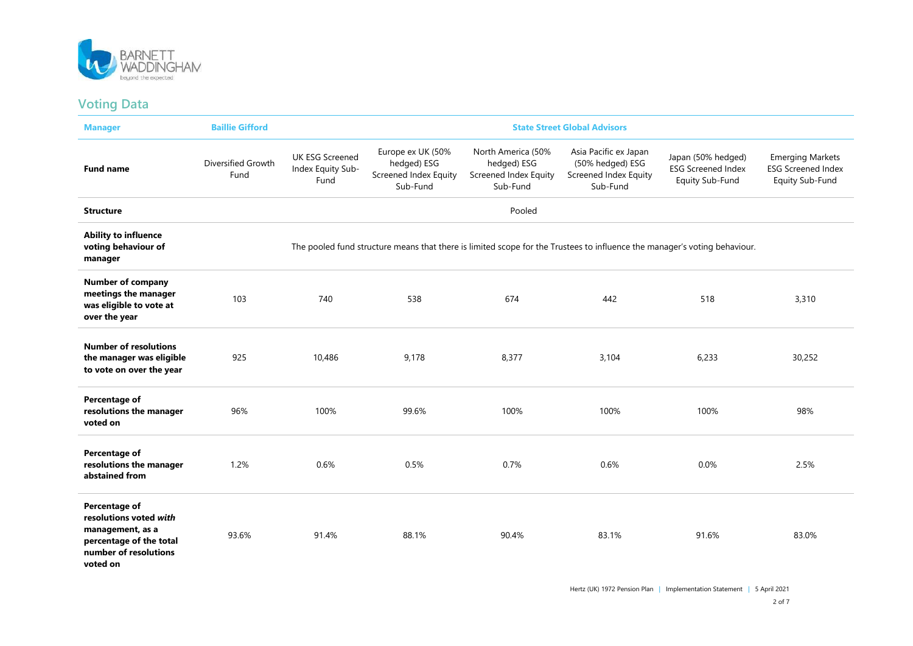

#### **Voting Data**

| <b>Manager</b>                                                                                                              | <b>Baillie Gifford</b>     | <b>State Street Global Advisors</b>                                                                                       |                                                                       |                                                                        |                                                                                |                                                                    |                                                                         |
|-----------------------------------------------------------------------------------------------------------------------------|----------------------------|---------------------------------------------------------------------------------------------------------------------------|-----------------------------------------------------------------------|------------------------------------------------------------------------|--------------------------------------------------------------------------------|--------------------------------------------------------------------|-------------------------------------------------------------------------|
| <b>Fund name</b>                                                                                                            | Diversified Growth<br>Fund | <b>UK ESG Screened</b><br>Index Equity Sub-<br>Fund                                                                       | Europe ex UK (50%<br>hedged) ESG<br>Screened Index Equity<br>Sub-Fund | North America (50%<br>hedged) ESG<br>Screened Index Equity<br>Sub-Fund | Asia Pacific ex Japan<br>(50% hedged) ESG<br>Screened Index Equity<br>Sub-Fund | Japan (50% hedged)<br><b>ESG Screened Index</b><br>Equity Sub-Fund | <b>Emerging Markets</b><br><b>ESG Screened Index</b><br>Equity Sub-Fund |
| <b>Structure</b>                                                                                                            |                            | Pooled                                                                                                                    |                                                                       |                                                                        |                                                                                |                                                                    |                                                                         |
| <b>Ability to influence</b><br>voting behaviour of<br>manager                                                               |                            | The pooled fund structure means that there is limited scope for the Trustees to influence the manager's voting behaviour. |                                                                       |                                                                        |                                                                                |                                                                    |                                                                         |
| <b>Number of company</b><br>meetings the manager<br>was eligible to vote at<br>over the year                                | 103                        | 740                                                                                                                       | 538                                                                   | 674                                                                    | 442                                                                            | 518                                                                | 3,310                                                                   |
| <b>Number of resolutions</b><br>the manager was eligible<br>to vote on over the year                                        | 925                        | 10,486                                                                                                                    | 9,178                                                                 | 8,377                                                                  | 3,104                                                                          | 6,233                                                              | 30,252                                                                  |
| Percentage of<br>resolutions the manager<br>voted on                                                                        | 96%                        | 100%                                                                                                                      | 99.6%                                                                 | 100%                                                                   | 100%                                                                           | 100%                                                               | 98%                                                                     |
| Percentage of<br>resolutions the manager<br>abstained from                                                                  | 1.2%                       | 0.6%                                                                                                                      | 0.5%                                                                  | 0.7%                                                                   | 0.6%                                                                           | 0.0%                                                               | 2.5%                                                                    |
| Percentage of<br>resolutions voted with<br>management, as a<br>percentage of the total<br>number of resolutions<br>voted on | 93.6%                      | 91.4%                                                                                                                     | 88.1%                                                                 | 90.4%                                                                  | 83.1%                                                                          | 91.6%                                                              | 83.0%                                                                   |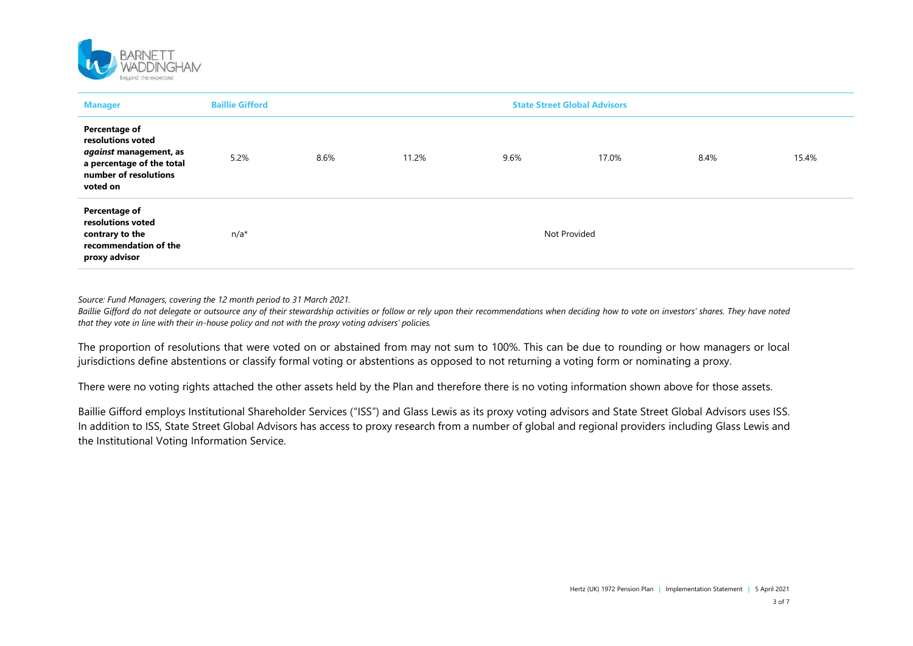

| <b>Manager</b>                                                                                                                        | <b>Baillie Gifford</b> | <b>State Street Global Advisors</b> |       |      |              |      |       |
|---------------------------------------------------------------------------------------------------------------------------------------|------------------------|-------------------------------------|-------|------|--------------|------|-------|
| <b>Percentage of</b><br>resolutions voted<br>against management, as<br>a percentage of the total<br>number of resolutions<br>voted on | 5.2%                   | 8.6%                                | 11.2% | 9.6% | 17.0%        | 8.4% | 15.4% |
| Percentage of<br>resolutions voted<br>contrary to the<br>recommendation of the<br>proxy advisor                                       | $n/a^*$                |                                     |       |      | Not Provided |      |       |

*Source: Fund Managers, covering the 12 month period to 31 March 2021.*

*Baillie Gifford do not delegate or outsource any of their stewardship activities or follow or rely upon their recommendations when deciding how to vote on investors' shares. They have noted that they vote in line with their in-house policy and not with the proxy voting advisers' policies.*

The proportion of resolutions that were voted on or abstained from may not sum to 100%. This can be due to rounding or how managers or local jurisdictions define abstentions or classify formal voting or abstentions as opposed to not returning a voting form or nominating a proxy.

There were no voting rights attached the other assets held by the Plan and therefore there is no voting information shown above for those assets.

Baillie Gifford employs Institutional Shareholder Services ("ISS") and Glass Lewis as its proxy voting advisors and State Street Global Advisors uses ISS. In addition to ISS, State Street Global Advisors has access to proxy research from a number of global and regional providers including Glass Lewis and the Institutional Voting Information Service.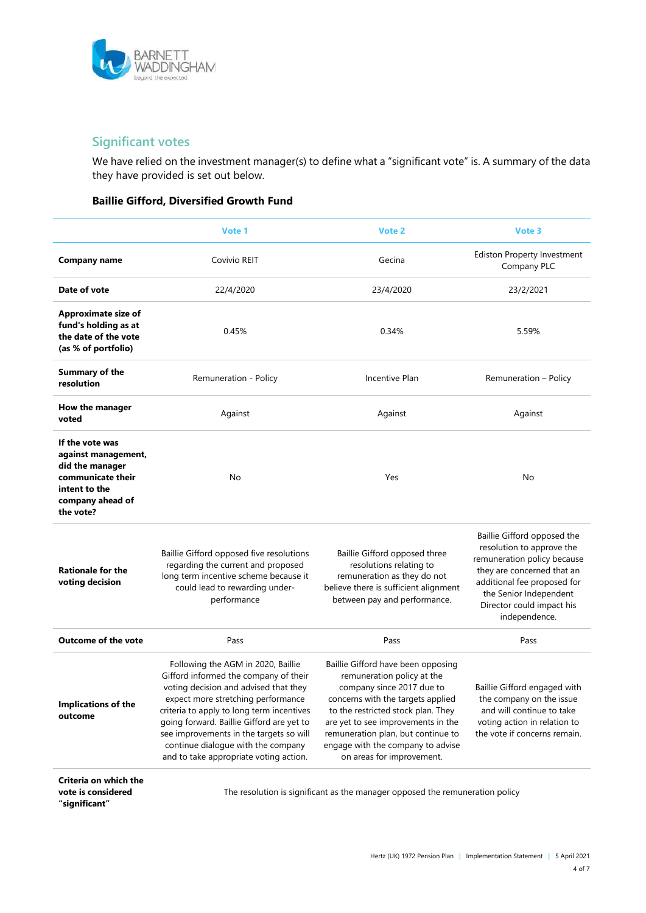

## **Significant votes**

We have relied on the investment manager(s) to define what a "significant vote" is. A summary of the data they have provided is set out below.

#### **Baillie Gifford, Diversified Growth Fund**

|                                                                                                                                  | Vote 1                                                                                                                                                                                                                                                                                                                                                                          | Vote 2                                                                                                                                                                                                                                                                                                                 | Vote 3                                                                                                                                                                                                                       |
|----------------------------------------------------------------------------------------------------------------------------------|---------------------------------------------------------------------------------------------------------------------------------------------------------------------------------------------------------------------------------------------------------------------------------------------------------------------------------------------------------------------------------|------------------------------------------------------------------------------------------------------------------------------------------------------------------------------------------------------------------------------------------------------------------------------------------------------------------------|------------------------------------------------------------------------------------------------------------------------------------------------------------------------------------------------------------------------------|
| Company name                                                                                                                     | Covivio REIT                                                                                                                                                                                                                                                                                                                                                                    | Gecina                                                                                                                                                                                                                                                                                                                 | <b>Ediston Property Investment</b><br>Company PLC                                                                                                                                                                            |
| Date of vote                                                                                                                     | 22/4/2020                                                                                                                                                                                                                                                                                                                                                                       | 23/4/2020                                                                                                                                                                                                                                                                                                              | 23/2/2021                                                                                                                                                                                                                    |
| <b>Approximate size of</b><br>fund's holding as at<br>the date of the vote<br>(as % of portfolio)                                | 0.45%                                                                                                                                                                                                                                                                                                                                                                           | 0.34%                                                                                                                                                                                                                                                                                                                  | 5.59%                                                                                                                                                                                                                        |
| <b>Summary of the</b><br>resolution                                                                                              | Remuneration - Policy                                                                                                                                                                                                                                                                                                                                                           | Incentive Plan                                                                                                                                                                                                                                                                                                         | Remuneration - Policy                                                                                                                                                                                                        |
| How the manager<br>voted                                                                                                         | Against                                                                                                                                                                                                                                                                                                                                                                         | Against                                                                                                                                                                                                                                                                                                                | Against                                                                                                                                                                                                                      |
| If the vote was<br>against management,<br>did the manager<br>communicate their<br>intent to the<br>company ahead of<br>the vote? | No                                                                                                                                                                                                                                                                                                                                                                              | Yes                                                                                                                                                                                                                                                                                                                    | No                                                                                                                                                                                                                           |
| <b>Rationale for the</b><br>voting decision                                                                                      | Baillie Gifford opposed five resolutions<br>regarding the current and proposed<br>long term incentive scheme because it<br>could lead to rewarding under-<br>performance                                                                                                                                                                                                        | Baillie Gifford opposed three<br>resolutions relating to<br>remuneration as they do not<br>believe there is sufficient alignment<br>between pay and performance.                                                                                                                                                       | Baillie Gifford opposed the<br>resolution to approve the<br>remuneration policy because<br>they are concerned that an<br>additional fee proposed for<br>the Senior Independent<br>Director could impact his<br>independence. |
| <b>Outcome of the vote</b>                                                                                                       | Pass                                                                                                                                                                                                                                                                                                                                                                            | Pass                                                                                                                                                                                                                                                                                                                   | Pass                                                                                                                                                                                                                         |
| <b>Implications of the</b><br>outcome                                                                                            | Following the AGM in 2020, Baillie<br>Gifford informed the company of their<br>voting decision and advised that they<br>expect more stretching performance<br>criteria to apply to long term incentives<br>going forward. Baillie Gifford are yet to<br>see improvements in the targets so will<br>continue dialogue with the company<br>and to take appropriate voting action. | Baillie Gifford have been opposing<br>remuneration policy at the<br>company since 2017 due to<br>concerns with the targets applied<br>to the restricted stock plan. They<br>are yet to see improvements in the<br>remuneration plan, but continue to<br>engage with the company to advise<br>on areas for improvement. | Baillie Gifford engaged with<br>the company on the issue<br>and will continue to take<br>voting action in relation to<br>the vote if concerns remain.                                                                        |
| Criteria on which the                                                                                                            |                                                                                                                                                                                                                                                                                                                                                                                 |                                                                                                                                                                                                                                                                                                                        |                                                                                                                                                                                                                              |

**vote is considered** 

**"significant"** 

The resolution is significant as the manager opposed the remuneration policy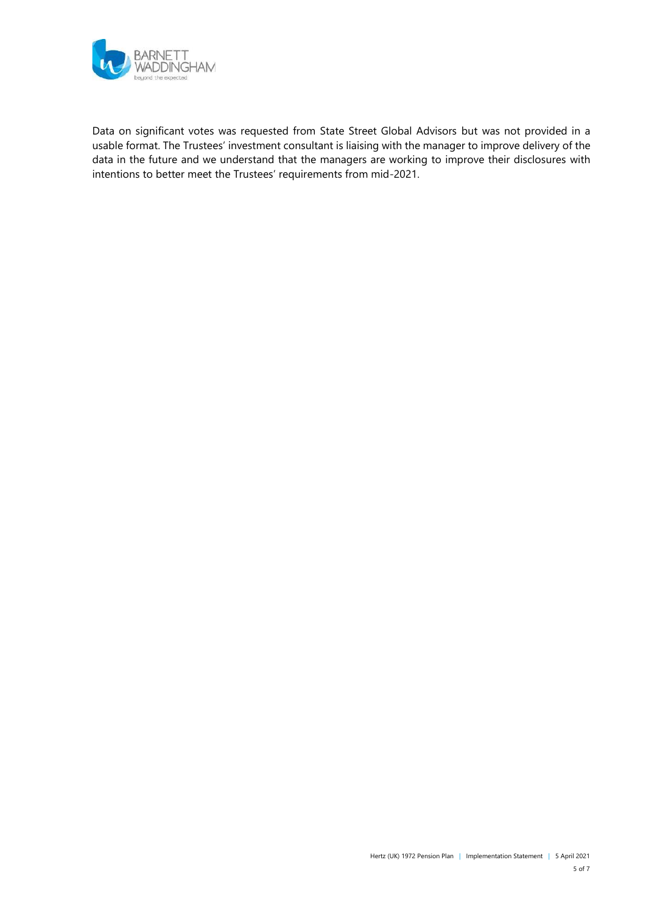

Data on significant votes was requested from State Street Global Advisors but was not provided in a usable format. The Trustees' investment consultant is liaising with the manager to improve delivery of the data in the future and we understand that the managers are working to improve their disclosures with intentions to better meet the Trustees' requirements from mid-2021.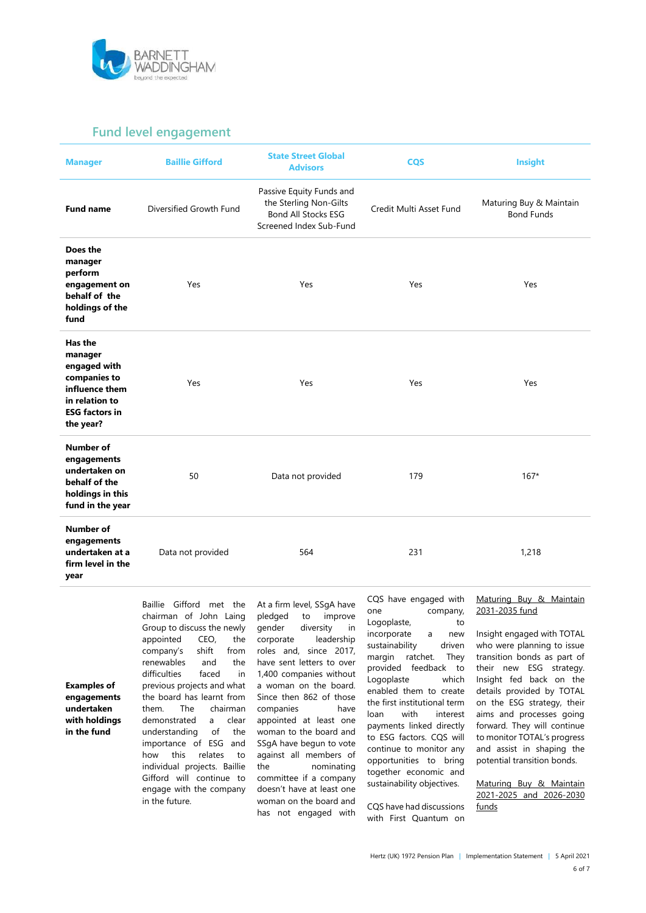

### **Fund level engagement**

| <b>Manager</b>                                                                                                               | <b>Baillie Gifford</b>  | <b>State Street Global</b><br><b>Advisors</b>                                                               | <b>CQS</b>              | Insight                                      |
|------------------------------------------------------------------------------------------------------------------------------|-------------------------|-------------------------------------------------------------------------------------------------------------|-------------------------|----------------------------------------------|
| <b>Fund name</b>                                                                                                             | Diversified Growth Fund | Passive Equity Funds and<br>the Sterling Non-Gilts<br><b>Bond All Stocks ESG</b><br>Screened Index Sub-Fund | Credit Multi Asset Fund | Maturing Buy & Maintain<br><b>Bond Funds</b> |
| Does the<br>manager<br>perform<br>engagement on<br>behalf of the<br>holdings of the<br>fund                                  | Yes                     | Yes                                                                                                         | Yes                     | Yes                                          |
| Has the<br>manager<br>engaged with<br>companies to<br>influence them<br>in relation to<br><b>ESG factors in</b><br>the year? | Yes                     | Yes                                                                                                         | Yes                     | Yes                                          |
| <b>Number of</b><br>engagements<br>undertaken on<br>behalf of the<br>holdings in this<br>fund in the year                    | 50                      | Data not provided                                                                                           | 179                     | $167*$                                       |
| Number of<br>engagements<br>undertaken at a<br>firm level in the<br>year                                                     | Data not provided       | 564                                                                                                         | 231                     | 1,218                                        |

**Examples of engagements undertaken with holdings in the fund**

chairman of John Laing Group to discuss the newly appointed CEO, the company's shift from renewables and the difficulties faced in previous projects and what the board has learnt from them. The chairman demonstrated a clear understanding of the importance of ESG and how this relates to individual projects. Baillie Gifford will continue to engage with the company in the future.

Baillie Gifford met the

At a firm level, SSgA have pledged to improve<br>gender diversity in diversity in corporate leadership roles and, since 2017, have sent letters to over 1,400 companies without a woman on the board. Since then 862 of those companies have appointed at least one woman to the board and SSgA have begun to vote against all members of the nominating committee if a company doesn't have at least one woman on the board and has not engaged with

CQS have engaged with one company, Logoplaste, to incorporate a new sustainability driven margin ratchet. They provided feedback to Logoplaste which enabled them to create the first institutional term loan with interest payments linked directly to ESG factors. CQS will continue to monitor any opportunities to bring together economic and sustainability objectives.

CQS have had discussions with First Quantum on

#### Maturing Buy & Maintain 2031-2035 fund

Insight engaged with TOTAL who were planning to issue transition bonds as part of their new ESG strategy. Insight fed back on the details provided by TOTAL on the ESG strategy, their aims and processes going forward. They will continue to monitor TOTAL's progress and assist in shaping the potential transition bonds.

Maturing Buy & Maintain 2021-2025 and 2026-2030 funds